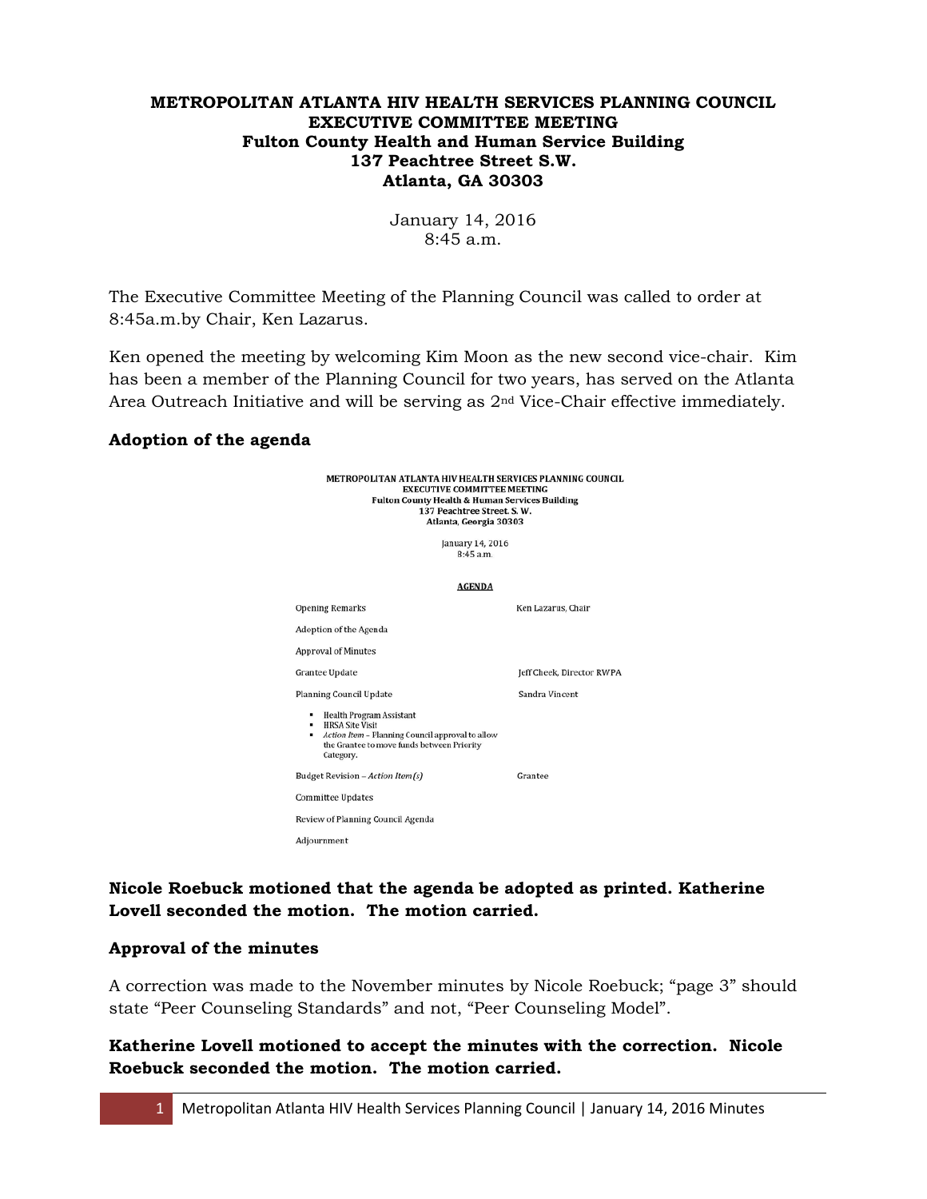#### **METROPOLITAN ATLANTA HIV HEALTH SERVICES PLANNING COUNCIL EXECUTIVE COMMITTEE MEETING Fulton County Health and Human Service Building 137 Peachtree Street S.W. Atlanta, GA 30303**

January 14, 2016 8:45 a.m.

The Executive Committee Meeting of the Planning Council was called to order at 8:45a.m.by Chair, Ken Lazarus.

Ken opened the meeting by welcoming Kim Moon as the new second vice-chair. Kim has been a member of the Planning Council for two years, has served on the Atlanta Area Outreach Initiative and will be serving as 2nd Vice-Chair effective immediately.

#### **Adoption of the agenda**

METROPOLITAN ATLANTA HIV HEALTH SERVICES PLANNING COUNCIL **EXECUTIVE COMMITTEE MEETING Fulton County Health & Human Services Building** 137 Peachtree Street. S.W. Atlanta, Georgia 30303 January 14, 2016 8:45 a.m. **AGENDA Opening Remarks** Ken Lazarus, Chair Adoption of the Agenda **Approval of Minutes** Grantee Update Jeff Cheek, Director RWPA Planning Council Update Sandra Vincent  $\bullet$  Health Program Assistant **HRSA Site Visit** Action Item - Planning Council approval to allow<br>the Grantee to move funds between Priority Category. Budget Revision - Action Item(s) Grantee **Committee Updates** Review of Planning Council Agenda Adjournment

**Nicole Roebuck motioned that the agenda be adopted as printed. Katherine Lovell seconded the motion. The motion carried.**

#### **Approval of the minutes**

A correction was made to the November minutes by Nicole Roebuck; "page 3" should state "Peer Counseling Standards" and not, "Peer Counseling Model".

**Katherine Lovell motioned to accept the minutes with the correction. Nicole Roebuck seconded the motion. The motion carried.**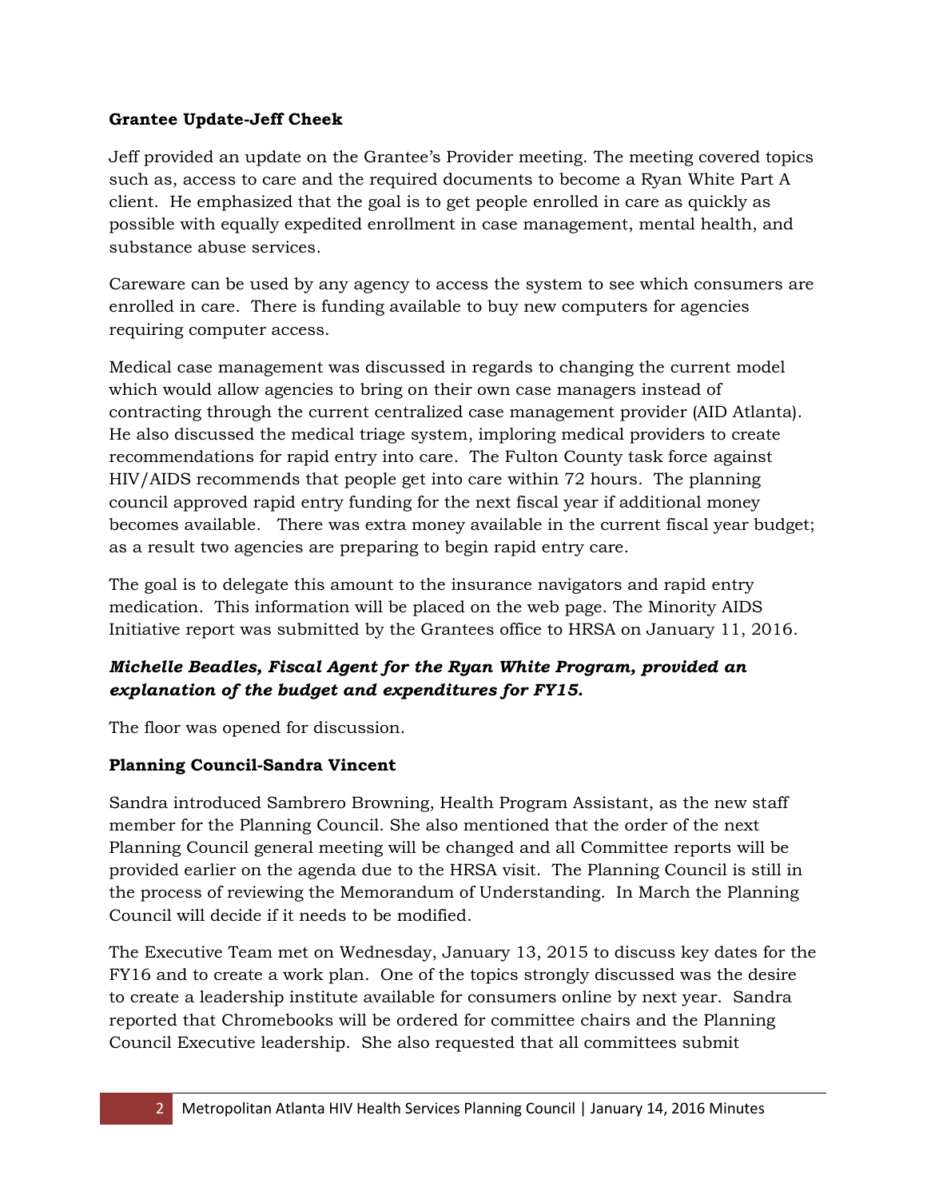### **Grantee Update-Jeff Cheek**

Jeff provided an update on the Grantee's Provider meeting. The meeting covered topics such as, access to care and the required documents to become a Ryan White Part A client. He emphasized that the goal is to get people enrolled in care as quickly as possible with equally expedited enrollment in case management, mental health, and substance abuse services.

Careware can be used by any agency to access the system to see which consumers are enrolled in care. There is funding available to buy new computers for agencies requiring computer access.

Medical case management was discussed in regards to changing the current model which would allow agencies to bring on their own case managers instead of contracting through the current centralized case management provider (AID Atlanta). He also discussed the medical triage system, imploring medical providers to create recommendations for rapid entry into care. The Fulton County task force against HIV/AIDS recommends that people get into care within 72 hours. The planning council approved rapid entry funding for the next fiscal year if additional money becomes available. There was extra money available in the current fiscal year budget; as a result two agencies are preparing to begin rapid entry care.

The goal is to delegate this amount to the insurance navigators and rapid entry medication. This information will be placed on the web page. The Minority AIDS Initiative report was submitted by the Grantees office to HRSA on January 11, 2016.

# *Michelle Beadles, Fiscal Agent for the Ryan White Program, provided an explanation of the budget and expenditures for FY15.*

The floor was opened for discussion.

# **Planning Council-Sandra Vincent**

Sandra introduced Sambrero Browning, Health Program Assistant, as the new staff member for the Planning Council. She also mentioned that the order of the next Planning Council general meeting will be changed and all Committee reports will be provided earlier on the agenda due to the HRSA visit. The Planning Council is still in the process of reviewing the Memorandum of Understanding. In March the Planning Council will decide if it needs to be modified.

The Executive Team met on Wednesday, January 13, 2015 to discuss key dates for the FY16 and to create a work plan. One of the topics strongly discussed was the desire to create a leadership institute available for consumers online by next year. Sandra reported that Chromebooks will be ordered for committee chairs and the Planning Council Executive leadership. She also requested that all committees submit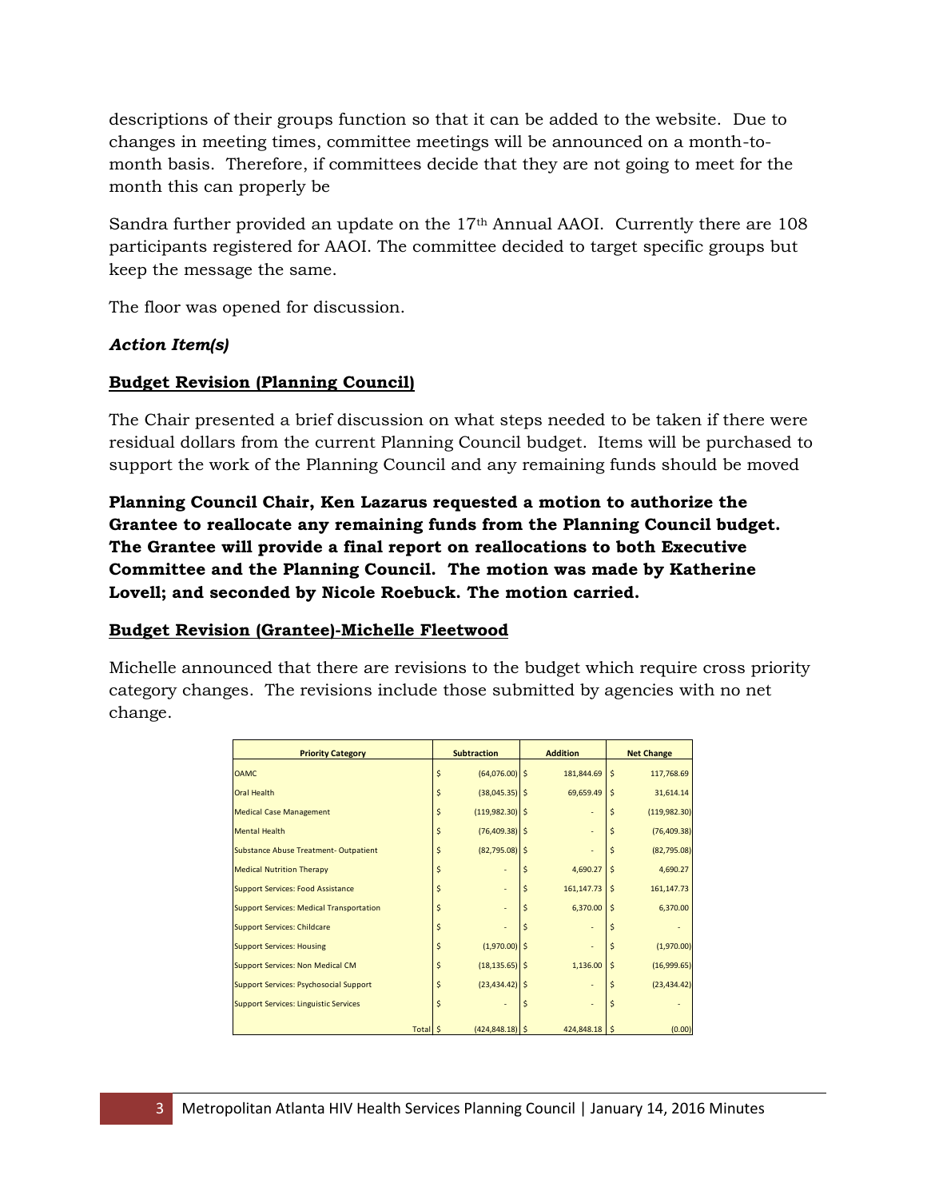descriptions of their groups function so that it can be added to the website. Due to changes in meeting times, committee meetings will be announced on a month-tomonth basis. Therefore, if committees decide that they are not going to meet for the month this can properly be

Sandra further provided an update on the 17<sup>th</sup> Annual AAOI. Currently there are 108 participants registered for AAOI. The committee decided to target specific groups but keep the message the same.

The floor was opened for discussion.

#### *Action Item(s)*

### **Budget Revision (Planning Council)**

The Chair presented a brief discussion on what steps needed to be taken if there were residual dollars from the current Planning Council budget. Items will be purchased to support the work of the Planning Council and any remaining funds should be moved

**Planning Council Chair, Ken Lazarus requested a motion to authorize the Grantee to reallocate any remaining funds from the Planning Council budget. The Grantee will provide a final report on reallocations to both Executive Committee and the Planning Council. The motion was made by Katherine Lovell; and seconded by Nicole Roebuck. The motion carried.**

#### **Budget Revision (Grantee)-Michelle Fleetwood**

Michelle announced that there are revisions to the budget which require cross priority category changes. The revisions include those submitted by agencies with no net change.

| <b>Priority Category</b>                        |                         | <b>Subtraction</b>       |   | <b>Addition</b>          |                    | <b>Net Change</b> |
|-------------------------------------------------|-------------------------|--------------------------|---|--------------------------|--------------------|-------------------|
| <b>OAMC</b>                                     | Ś                       | $(64,076.00)$ \$         |   | 181,844.69               | $\mathsf{\hat{S}}$ | 117,768.69        |
| <b>Oral Health</b>                              | \$                      | $(38,045.35)$ \$         |   | 69,659.49                | Ś                  | 31,614.14         |
| <b>Medical Case Management</b>                  | \$                      | $(119,982.30)$ \$        |   | $\overline{a}$           | Ś                  | (119,982.30)      |
| <b>Mental Health</b>                            | Ś                       | $(76,409.38)$ \$         |   | $\overline{\phantom{a}}$ |                    | (76, 409.38)      |
| <b>Substance Abuse Treatment-Outpatient</b>     | Ś                       | $(82,795.08)$ \$         |   |                          | Ś                  | (82, 795.08)      |
| <b>Medical Nutrition Therapy</b>                |                         | $\overline{\phantom{0}}$ | Ś | 4,690.27                 | Ś                  | 4,690.27          |
| <b>Support Services: Food Assistance</b>        | Ś                       |                          | Ś | 161, 147. 73             | Ś                  | 161, 147. 73      |
| <b>Support Services: Medical Transportation</b> | Ś                       | L,                       | Ś | 6,370.00                 | $\mathsf{\hat{S}}$ | 6,370.00          |
| <b>Support Services: Childcare</b>              | Ś                       | $\overline{a}$           | Ś | $\overline{a}$           |                    |                   |
| <b>Support Services: Housing</b>                | Ś                       | $(1,970.00)$ \$          |   |                          | Ś                  | (1,970.00)        |
| <b>Support Services: Non Medical CM</b>         | Ś                       | $(18, 135.65)$ \$        |   | 1,136.00                 | Ś                  | (16,999.65)       |
| Support Services: Psychosocial Support          | Ś                       | $(23, 434.42)$ \$        |   | $\overline{a}$           |                    | (23, 434.42)      |
| <b>Support Services: Linguistic Services</b>    | $\overline{\mathsf{S}}$ | $\overline{a}$           | Ś | $\overline{a}$           | Ś                  |                   |
| Total S                                         |                         | $(424, 848.18)$ \$       |   | 424,848.18 \$            |                    | (0.00)            |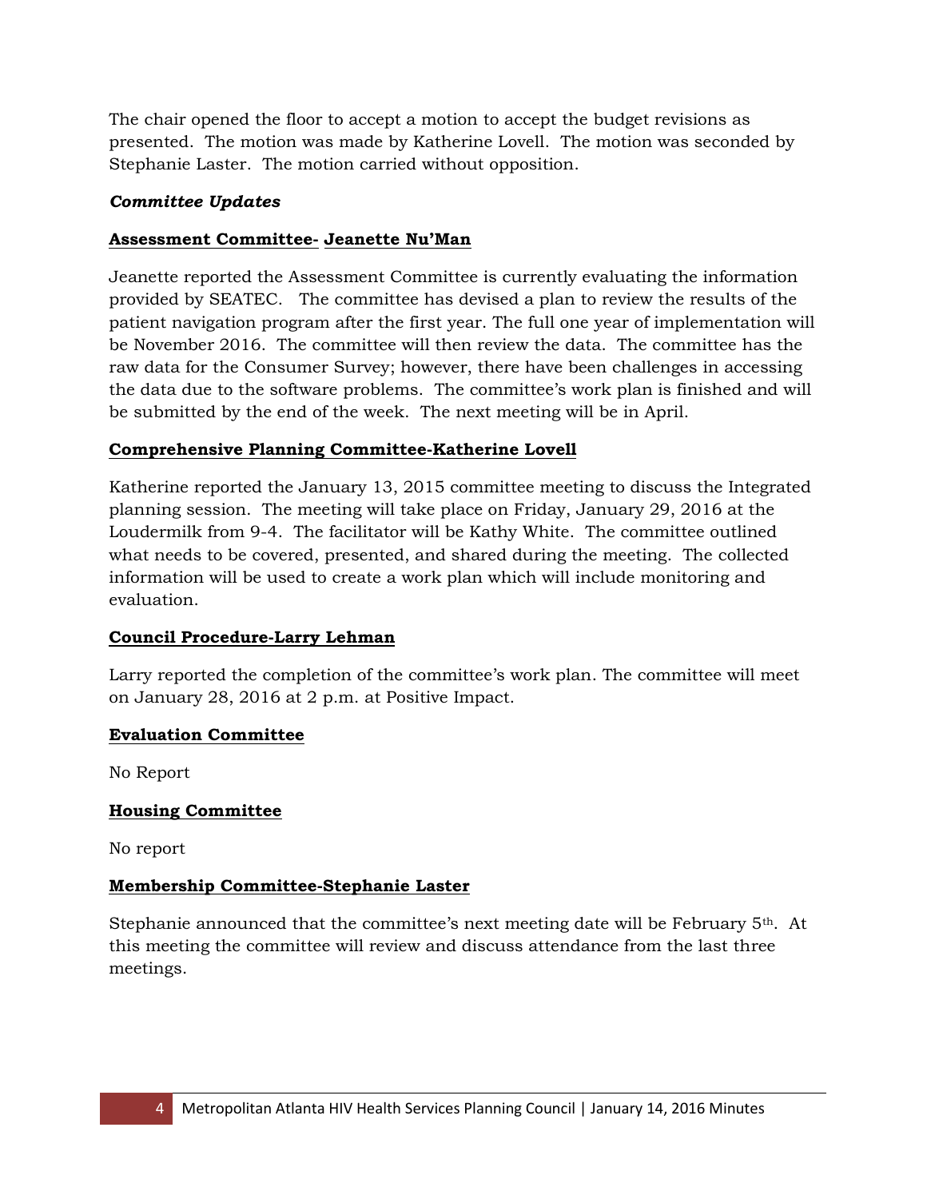The chair opened the floor to accept a motion to accept the budget revisions as presented. The motion was made by Katherine Lovell. The motion was seconded by Stephanie Laster. The motion carried without opposition.

### *Committee Updates*

### **Assessment Committee- Jeanette Nu'Man**

Jeanette reported the Assessment Committee is currently evaluating the information provided by SEATEC. The committee has devised a plan to review the results of the patient navigation program after the first year. The full one year of implementation will be November 2016. The committee will then review the data. The committee has the raw data for the Consumer Survey; however, there have been challenges in accessing the data due to the software problems. The committee's work plan is finished and will be submitted by the end of the week. The next meeting will be in April.

# **Comprehensive Planning Committee-Katherine Lovell**

Katherine reported the January 13, 2015 committee meeting to discuss the Integrated planning session. The meeting will take place on Friday, January 29, 2016 at the Loudermilk from 9-4. The facilitator will be Kathy White. The committee outlined what needs to be covered, presented, and shared during the meeting. The collected information will be used to create a work plan which will include monitoring and evaluation.

### **Council Procedure-Larry Lehman**

Larry reported the completion of the committee's work plan. The committee will meet on January 28, 2016 at 2 p.m. at Positive Impact.

### **Evaluation Committee**

No Report

### **Housing Committee**

No report

### **Membership Committee-Stephanie Laster**

Stephanie announced that the committee's next meeting date will be February 5th. At this meeting the committee will review and discuss attendance from the last three meetings.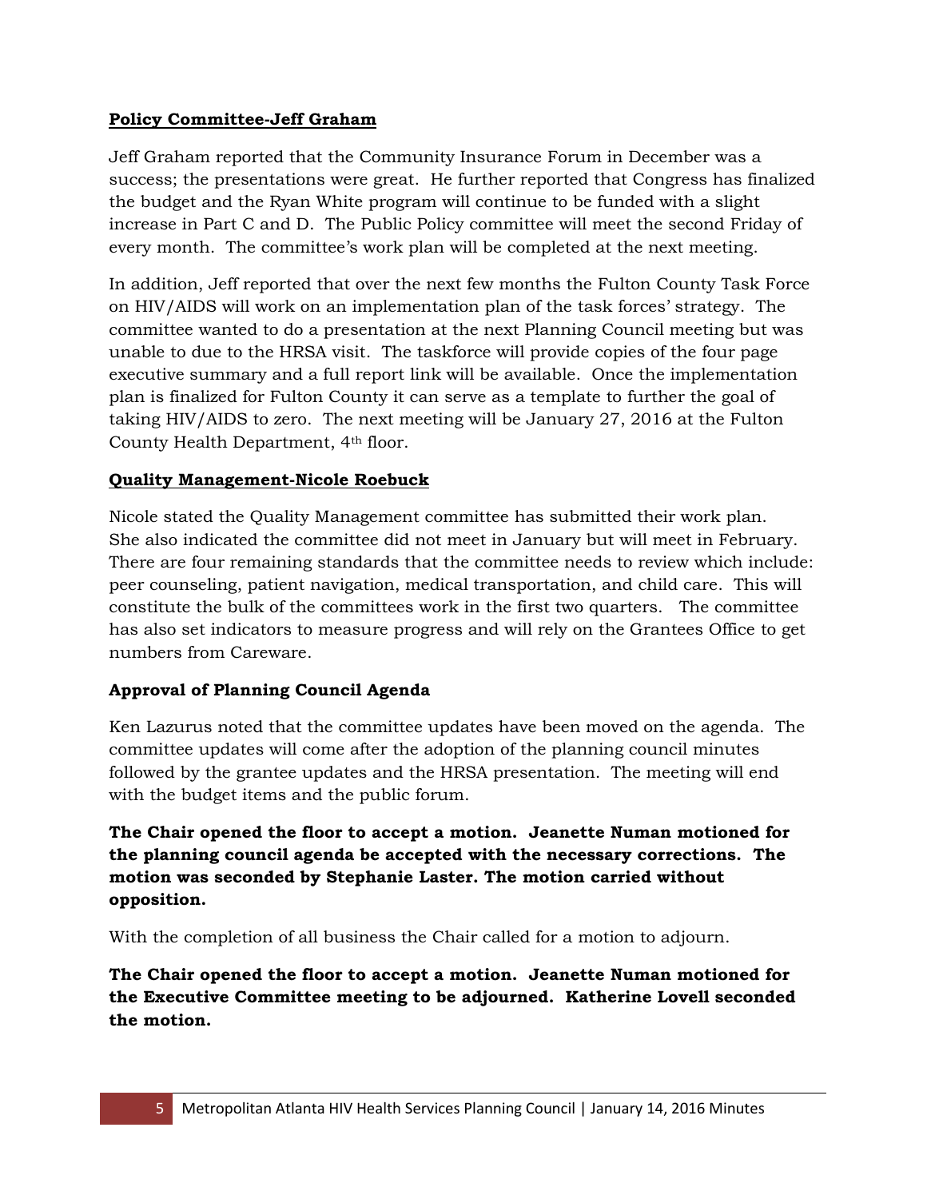### **Policy Committee-Jeff Graham**

Jeff Graham reported that the Community Insurance Forum in December was a success; the presentations were great. He further reported that Congress has finalized the budget and the Ryan White program will continue to be funded with a slight increase in Part C and D. The Public Policy committee will meet the second Friday of every month. The committee's work plan will be completed at the next meeting.

In addition, Jeff reported that over the next few months the Fulton County Task Force on HIV/AIDS will work on an implementation plan of the task forces' strategy. The committee wanted to do a presentation at the next Planning Council meeting but was unable to due to the HRSA visit. The taskforce will provide copies of the four page executive summary and a full report link will be available. Once the implementation plan is finalized for Fulton County it can serve as a template to further the goal of taking HIV/AIDS to zero. The next meeting will be January 27, 2016 at the Fulton County Health Department, 4th floor.

# **Quality Management-Nicole Roebuck**

Nicole stated the Quality Management committee has submitted their work plan. She also indicated the committee did not meet in January but will meet in February. There are four remaining standards that the committee needs to review which include: peer counseling, patient navigation, medical transportation, and child care. This will constitute the bulk of the committees work in the first two quarters. The committee has also set indicators to measure progress and will rely on the Grantees Office to get numbers from Careware.

# **Approval of Planning Council Agenda**

Ken Lazurus noted that the committee updates have been moved on the agenda. The committee updates will come after the adoption of the planning council minutes followed by the grantee updates and the HRSA presentation. The meeting will end with the budget items and the public forum.

**The Chair opened the floor to accept a motion. Jeanette Numan motioned for the planning council agenda be accepted with the necessary corrections. The motion was seconded by Stephanie Laster. The motion carried without opposition.** 

With the completion of all business the Chair called for a motion to adjourn.

**The Chair opened the floor to accept a motion. Jeanette Numan motioned for the Executive Committee meeting to be adjourned. Katherine Lovell seconded the motion.**